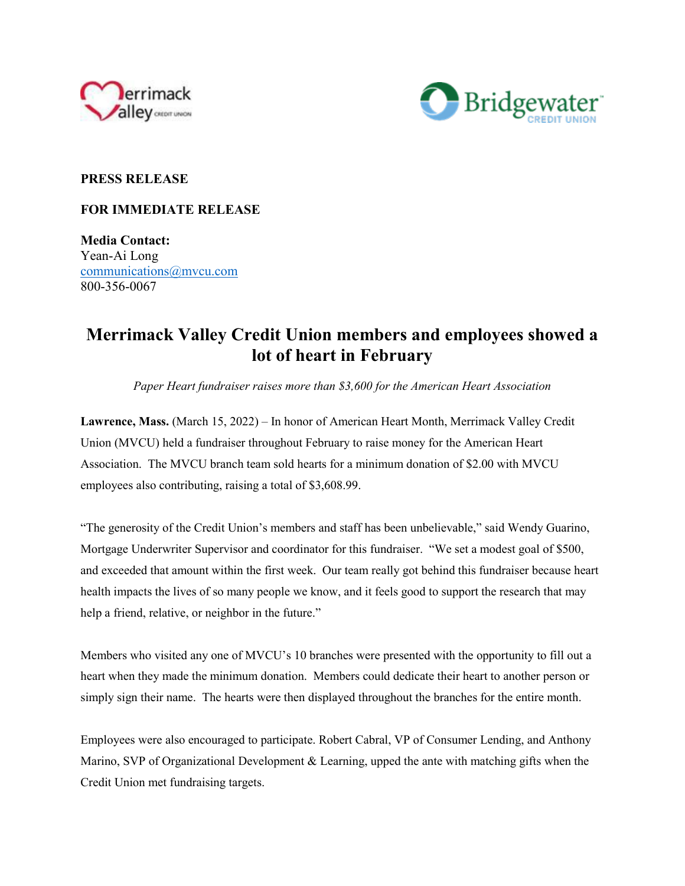



## **PRESS RELEASE**

### **FOR IMMEDIATE RELEASE**

**Media Contact:**  Yean-Ai Long communications@mvcu.com 800-356-0067

# **Merrimack Valley Credit Union members and employees showed a lot of heart in February**

*Paper Heart fundraiser raises more than \$3,600 for the American Heart Association* 

**Lawrence, Mass.** (March 15, 2022) – In honor of American Heart Month, Merrimack Valley Credit Union (MVCU) held a fundraiser throughout February to raise money for the American Heart Association. The MVCU branch team sold hearts for a minimum donation of \$2.00 with MVCU employees also contributing, raising a total of \$3,608.99.

"The generosity of the Credit Union's members and staff has been unbelievable," said Wendy Guarino, Mortgage Underwriter Supervisor and coordinator for this fundraiser. "We set a modest goal of \$500, and exceeded that amount within the first week. Our team really got behind this fundraiser because heart health impacts the lives of so many people we know, and it feels good to support the research that may help a friend, relative, or neighbor in the future."

Members who visited any one of MVCU's 10 branches were presented with the opportunity to fill out a heart when they made the minimum donation. Members could dedicate their heart to another person or simply sign their name. The hearts were then displayed throughout the branches for the entire month.

Employees were also encouraged to participate. Robert Cabral, VP of Consumer Lending, and Anthony Marino, SVP of Organizational Development & Learning, upped the ante with matching gifts when the Credit Union met fundraising targets.